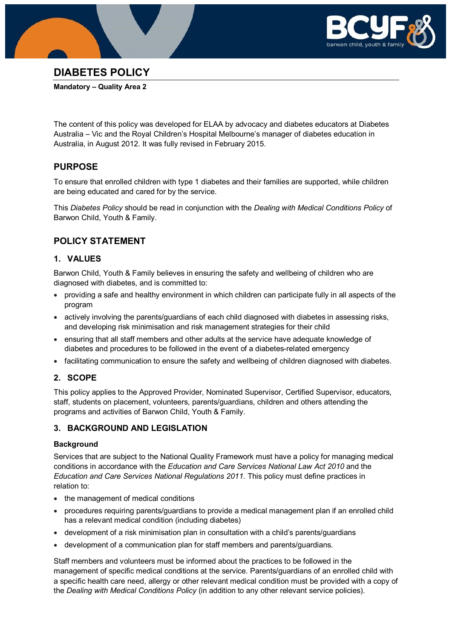



## **DIABETES POLICY**

**Mandatory – Quality Area 2**

The content of this policy was developed for ELAA by advocacy and diabetes educators at Diabetes Australia – Vic and the Royal Children's Hospital Melbourne's manager of diabetes education in Australia, in August 2012. It was fully revised in February 2015.

### **PURPOSE**

To ensure that enrolled children with type 1 diabetes and their families are supported, while children are being educated and cared for by the service.

This *Diabetes Policy* should be read in conjunction with the *Dealing with Medical Conditions Policy* of Barwon Child, Youth & Family.

### **POLICY STATEMENT**

### **1. VALUES**

Barwon Child, Youth & Family believes in ensuring the safety and wellbeing of children who are diagnosed with diabetes, and is committed to:

- providing a safe and healthy environment in which children can participate fully in all aspects of the program
- actively involving the parents/guardians of each child diagnosed with diabetes in assessing risks, and developing risk minimisation and risk management strategies for their child
- ensuring that all staff members and other adults at the service have adequate knowledge of diabetes and procedures to be followed in the event of a diabetes-related emergency
- facilitating communication to ensure the safety and wellbeing of children diagnosed with diabetes.

### **2. SCOPE**

This policy applies to the Approved Provider, Nominated Supervisor, Certified Supervisor, educators, staff, students on placement, volunteers, parents/guardians, children and others attending the programs and activities of Barwon Child, Youth & Family.

### **3. BACKGROUND AND LEGISLATION**

#### **Background**

Services that are subject to the National Quality Framework must have a policy for managing medical conditions in accordance with the *Education and Care Services National Law Act 2010* and the *Education and Care Services National Regulations 2011*. This policy must define practices in relation to:

- the management of medical conditions
- procedures requiring parents/guardians to provide a medical management plan if an enrolled child has a relevant medical condition (including diabetes)
- development of a risk minimisation plan in consultation with a child's parents/guardians
- development of a communication plan for staff members and parents/guardians.

Staff members and volunteers must be informed about the practices to be followed in the management of specific medical conditions at the service. Parents/guardians of an enrolled child with a specific health care need, allergy or other relevant medical condition must be provided with a copy of the *Dealing with Medical Conditions Policy* (in addition to any other relevant service policies).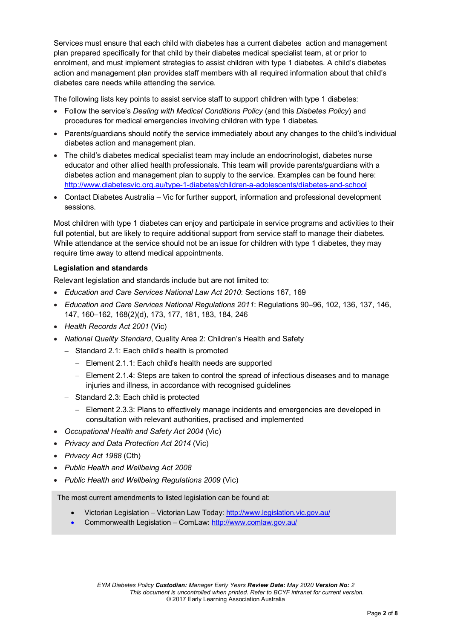Services must ensure that each child with diabetes has a current diabetes action and management plan prepared specifically for that child by their diabetes medical specialist team, at or prior to enrolment, and must implement strategies to assist children with type 1 diabetes. A child's diabetes action and management plan provides staff members with all required information about that child's diabetes care needs while attending the service.

The following lists key points to assist service staff to support children with type 1 diabetes:

- Follow the service's *Dealing with Medical Conditions Policy* (and this *Diabetes Policy*) and procedures for medical emergencies involving children with type 1 diabetes.
- Parents/guardians should notify the service immediately about any changes to the child's individual diabetes action and management plan.
- The child's diabetes medical specialist team may include an endocrinologist, diabetes nurse educator and other allied health professionals. This team will provide parents/guardians with a diabetes action and management plan to supply to the service. Examples can be found here: <http://www.diabetesvic.org.au/type-1-diabetes/children-a-adolescents/diabetes-and-school>
- Contact Diabetes Australia Vic for further support, information and professional development sessions.

Most children with type 1 diabetes can enjoy and participate in service programs and activities to their full potential, but are likely to require additional support from service staff to manage their diabetes. While attendance at the service should not be an issue for children with type 1 diabetes, they may require time away to attend medical appointments.

#### **Legislation and standards**

Relevant legislation and standards include but are not limited to:

- *Education and Care Services National Law Act 2010*: Sections 167, 169
- *Education and Care Services National Regulations 2011*: Regulations 90–96, 102, 136, 137, 146, 147, 160–162, 168(2)(d), 173, 177, 181, 183, 184, 246
- *Health Records Act 2001* (Vic)
- *National Quality Standard*, Quality Area 2: Children's Health and Safety
	- − Standard 2.1: Each child's health is promoted
		- − Element 2.1.1: Each child's health needs are supported
		- − Element 2.1.4: Steps are taken to control the spread of infectious diseases and to manage injuries and illness, in accordance with recognised guidelines
	- − Standard 2.3: Each child is protected
		- − Element 2.3.3: Plans to effectively manage incidents and emergencies are developed in consultation with relevant authorities, practised and implemented
- *Occupational Health and Safety Act 2004* (Vic)
- *Privacy and Data Protection Act 2014* (Vic)
- *Privacy Act 1988* (Cth)
- *Public Health and Wellbeing Act 2008*
- *Public Health and Wellbeing Regulations 2009* (Vic)

The most current amendments to listed legislation can be found at:

- Victorian Legislation Victorian Law Today:<http://www.legislation.vic.gov.au/>
- Commonwealth Legislation ComLaw:<http://www.comlaw.gov.au/>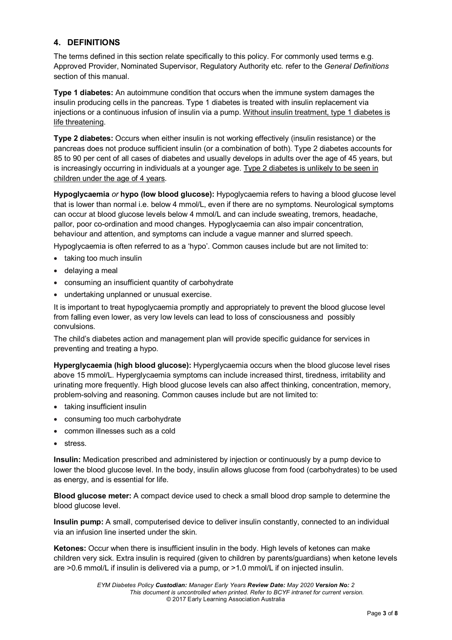### **4. DEFINITIONS**

The terms defined in this section relate specifically to this policy. For commonly used terms e.g. Approved Provider, Nominated Supervisor, Regulatory Authority etc. refer to the *General Definitions* section of this manual.

**Type 1 diabetes:** An autoimmune condition that occurs when the immune system damages the insulin producing cells in the pancreas. Type 1 diabetes is treated with insulin replacement via injections or a continuous infusion of insulin via a pump. Without insulin treatment, type 1 diabetes is life threatening.

**Type 2 diabetes:** Occurs when either insulin is not working effectively (insulin resistance) or the pancreas does not produce sufficient insulin (or a combination of both). Type 2 diabetes accounts for 85 to 90 per cent of all cases of diabetes and usually develops in adults over the age of 45 years, but is increasingly occurring in individuals at a younger age. Type 2 diabetes is unlikely to be seen in children under the age of 4 years.

**Hypoglycaemia** *or* **hypo (low blood glucose):** Hypoglycaemia refers to having a blood glucose level that is lower than normal i.e. below 4 mmol/L, even if there are no symptoms. Neurological symptoms can occur at blood glucose levels below 4 mmol/L and can include sweating, tremors, headache, pallor, poor co-ordination and mood changes. Hypoglycaemia can also impair concentration, behaviour and attention, and symptoms can include a vague manner and slurred speech.

Hypoglycaemia is often referred to as a 'hypo'. Common causes include but are not limited to:

- taking too much insulin
- delaying a meal
- consuming an insufficient quantity of carbohydrate
- undertaking unplanned or unusual exercise.

It is important to treat hypoglycaemia promptly and appropriately to prevent the blood glucose level from falling even lower, as very low levels can lead to loss of consciousness and possibly convulsions.

The child's diabetes action and management plan will provide specific guidance for services in preventing and treating a hypo.

**Hyperglycaemia (high blood glucose):** Hyperglycaemia occurs when the blood glucose level rises above 15 mmol/L. Hyperglycaemia symptoms can include increased thirst, tiredness, irritability and urinating more frequently. High blood glucose levels can also affect thinking, concentration, memory, problem-solving and reasoning. Common causes include but are not limited to:

- taking insufficient insulin
- consuming too much carbohydrate
- common illnesses such as a cold
- stress.

**Insulin:** Medication prescribed and administered by injection or continuously by a pump device to lower the blood glucose level. In the body, insulin allows glucose from food (carbohydrates) to be used as energy, and is essential for life.

**Blood glucose meter:** A compact device used to check a small blood drop sample to determine the blood glucose level.

**Insulin pump:** A small, computerised device to deliver insulin constantly, connected to an individual via an infusion line inserted under the skin.

**Ketones:** Occur when there is insufficient insulin in the body. High levels of ketones can make children very sick. Extra insulin is required (given to children by parents/guardians) when ketone levels are >0.6 mmol/L if insulin is delivered via a pump, or >1.0 mmol/L if on injected insulin.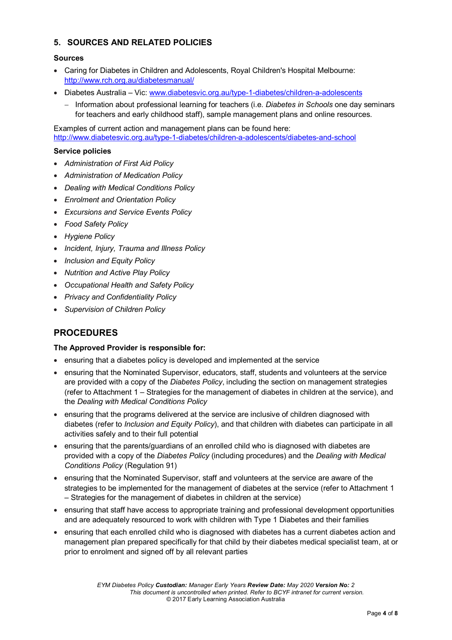### **5. SOURCES AND RELATED POLICIES**

#### **Sources**

- Caring for Diabetes in Children and [Adolescents, Royal Children's Hospital](http://www.rch.org.au/diabetesmanual/index.cfm?doc_id=2352) Melbourne: <http://www.rch.org.au/diabetesmanual/>
- Diabetes Australia Vic: [www.diabetesvic.org.au/type-1-diabetes/children-a-adolescents](http://www.diabetesvic.org.au/type-1-diabetes/children-a-adolescents)
	- − Information about professional learning for teachers (i.e. *Diabetes in Schools* one day seminars for teachers and early childhood staff), sample management plans and online resources.

Examples of current action and management plans can be found here: <http://www.diabetesvic.org.au/type-1-diabetes/children-a-adolescents/diabetes-and-school>

#### **Service policies**

- *Administration of First Aid Policy*
- *Administration of Medication Policy*
- *Dealing with Medical Conditions Policy*
- *Enrolment and Orientation Policy*
- *Excursions and Service Events Policy*
- *Food Safety Policy*
- *Hygiene Policy*
- *Incident, Injury, Trauma and Illness Policy*
- *Inclusion and Equity Policy*
- *Nutrition and Active Play Policy*
- *Occupational Health and Safety Policy*
- *Privacy and Confidentiality Policy*
- *Supervision of Children Policy*

### **PROCEDURES**

#### **The Approved Provider is responsible for:**

- ensuring that a diabetes policy is developed and implemented at the service
- ensuring that the Nominated Supervisor, educators, staff, students and volunteers at the service are provided with a copy of the *Diabetes Policy*, including the section on management strategies (refer to Attachment 1 – Strategies for the management of diabetes in children at the service), and the *Dealing with Medical Conditions Policy*
- ensuring that the programs delivered at the service are inclusive of children diagnosed with diabetes (refer to *Inclusion and Equity Policy*), and that children with diabetes can participate in all activities safely and to their full potential
- ensuring that the parents/guardians of an enrolled child who is diagnosed with diabetes are provided with a copy of the *Diabetes Policy* (including procedures) and the *Dealing with Medical Conditions Policy* (Regulation 91)
- ensuring that the Nominated Supervisor, staff and volunteers at the service are aware of the strategies to be implemented for the management of diabetes at the service (refer to Attachment 1 – Strategies for the management of diabetes in children at the service)
- ensuring that staff have access to appropriate training and professional development opportunities and are adequately resourced to work with children with Type 1 Diabetes and their families
- ensuring that each enrolled child who is diagnosed with diabetes has a current diabetes action and management plan prepared specifically for that child by their diabetes medical specialist team, at or prior to enrolment and signed off by all relevant parties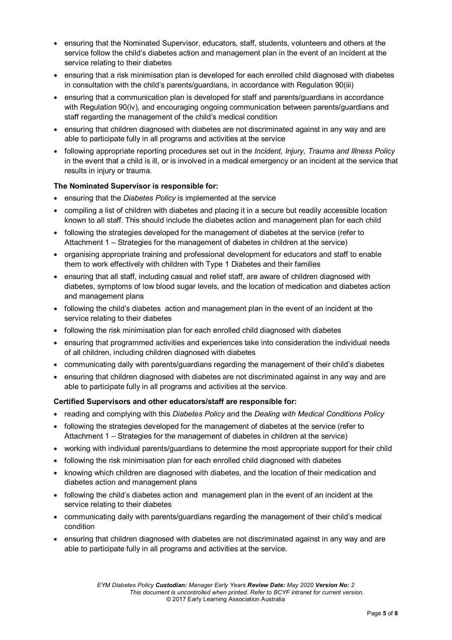- ensuring that the Nominated Supervisor, educators, staff, students, volunteers and others at the service follow the child's diabetes action and management plan in the event of an incident at the service relating to their diabetes
- ensuring that a risk minimisation plan is developed for each enrolled child diagnosed with diabetes in consultation with the child's parents/guardians, in accordance with Regulation 90(iii)
- ensuring that a communication plan is developed for staff and parents/guardians in accordance with Regulation 90(iv), and encouraging ongoing communication between parents/guardians and staff regarding the management of the child's medical condition
- ensuring that children diagnosed with diabetes are not discriminated against in any way and are able to participate fully in all programs and activities at the service
- following appropriate reporting procedures set out in the *Incident, Injury, Trauma and Illness Policy* in the event that a child is ill, or is involved in a medical emergency or an incident at the service that results in injury or trauma.

#### **The Nominated Supervisor is responsible for:**

- ensuring that the *Diabetes Policy* is implemented at the service
- compiling a list of children with diabetes and placing it in a secure but readily accessible location known to all staff. This should include the diabetes action and management plan for each child
- following the strategies developed for the management of diabetes at the service (refer to Attachment 1 – Strategies for the management of diabetes in children at the service)
- organising appropriate training and professional development for educators and staff to enable them to work effectively with children with Type 1 Diabetes and their families
- ensuring that all staff, including casual and relief staff, are aware of children diagnosed with diabetes, symptoms of low blood sugar levels, and the location of medication and diabetes action and management plans
- following the child's diabetes action and management plan in the event of an incident at the service relating to their diabetes
- following the risk minimisation plan for each enrolled child diagnosed with diabetes
- ensuring that programmed activities and experiences take into consideration the individual needs of all children, including children diagnosed with diabetes
- communicating daily with parents/guardians regarding the management of their child's diabetes
- ensuring that children diagnosed with diabetes are not discriminated against in any way and are able to participate fully in all programs and activities at the service.

#### **Certified Supervisors and other educators/staff are responsible for:**

- reading and complying with this *Diabetes Policy* and the *Dealing with Medical Conditions Policy*
- following the strategies developed for the management of diabetes at the service (refer to Attachment 1 – Strategies for the management of diabetes in children at the service)
- working with individual parents/guardians to determine the most appropriate support for their child
- following the risk minimisation plan for each enrolled child diagnosed with diabetes
- knowing which children are diagnosed with diabetes, and the location of their medication and diabetes action and management plans
- following the child's diabetes action and management plan in the event of an incident at the service relating to their diabetes
- communicating daily with parents/guardians regarding the management of their child's medical condition
- ensuring that children diagnosed with diabetes are not discriminated against in any way and are able to participate fully in all programs and activities at the service.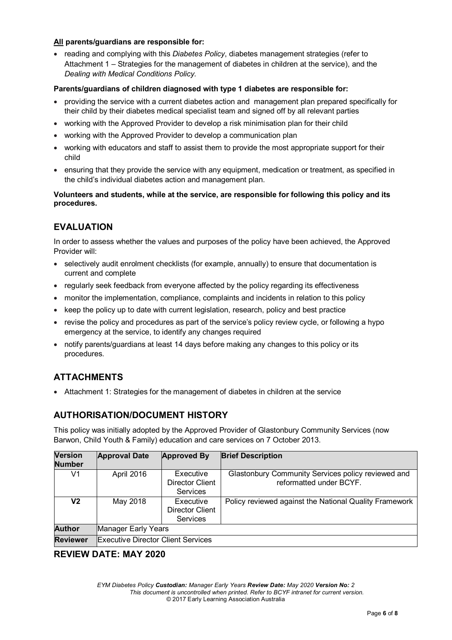#### **All parents/guardians are responsible for:**

• reading and complying with this *Diabetes Policy*, diabetes management strategies (refer to Attachment 1 – Strategies for the management of diabetes in children at the service), and the *Dealing with Medical Conditions Policy.*

#### **Parents/guardians of children diagnosed with type 1 diabetes are responsible for:**

- providing the service with a current diabetes action and management plan prepared specifically for their child by their diabetes medical specialist team and signed off by all relevant parties
- working with the Approved Provider to develop a risk minimisation plan for their child
- working with the Approved Provider to develop a communication plan
- working with educators and staff to assist them to provide the most appropriate support for their child
- ensuring that they provide the service with any equipment, medication or treatment, as specified in the child's individual diabetes action and management plan.

#### **Volunteers and students, while at the service, are responsible for following this policy and its procedures.**

### **EVALUATION**

In order to assess whether the values and purposes of the policy have been achieved, the Approved Provider will:

- selectively audit enrolment checklists (for example, annually) to ensure that documentation is current and complete
- regularly seek feedback from everyone affected by the policy regarding its effectiveness
- monitor the implementation, compliance, complaints and incidents in relation to this policy
- keep the policy up to date with current legislation, research, policy and best practice
- revise the policy and procedures as part of the service's policy review cycle, or following a hypo emergency at the service, to identify any changes required
- notify parents/guardians at least 14 days before making any changes to this policy or its procedures.

# **ATTACHMENTS**

• Attachment 1: Strategies for the management of diabetes in children at the service

### **AUTHORISATION/DOCUMENT HISTORY**

This policy was initially adopted by the Approved Provider of Glastonbury Community Services (now Barwon, Child Youth & Family) education and care services on 7 October 2013.

| <b>Version</b><br><b>Number</b> | <b>Approval Date</b>                      | <b>Approved By</b>                       | <b>Brief Description</b>                                                      |  |
|---------------------------------|-------------------------------------------|------------------------------------------|-------------------------------------------------------------------------------|--|
| V1                              | April 2016                                | Executive<br>Director Client<br>Services | Glastonbury Community Services policy reviewed and<br>reformatted under BCYF. |  |
| V2                              | May 2018                                  | Executive<br>Director Client<br>Services | Policy reviewed against the National Quality Framework                        |  |
| <b>Author</b>                   | Manager Early Years                       |                                          |                                                                               |  |
| <b>Reviewer</b>                 | <b>Executive Director Client Services</b> |                                          |                                                                               |  |

**REVIEW DATE: MAY 2020**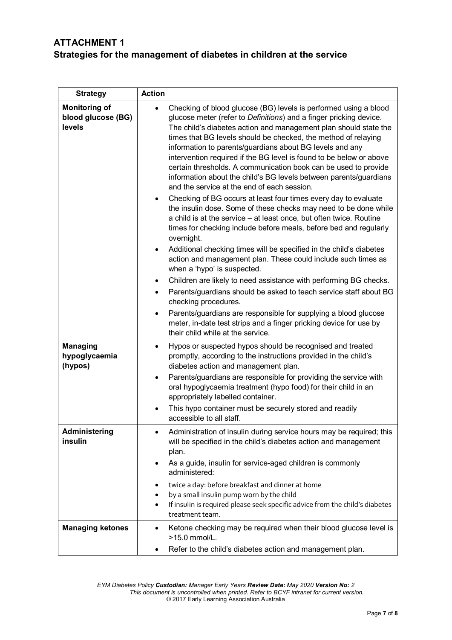## **ATTACHMENT 1 Strategies for the management of diabetes in children at the service**

| <b>Strategy</b>                                      | <b>Action</b>                                                                                                                                                                                                                                                                                                                                                                                                                                                                                                                                                                                          |
|------------------------------------------------------|--------------------------------------------------------------------------------------------------------------------------------------------------------------------------------------------------------------------------------------------------------------------------------------------------------------------------------------------------------------------------------------------------------------------------------------------------------------------------------------------------------------------------------------------------------------------------------------------------------|
| <b>Monitoring of</b><br>blood glucose (BG)<br>levels | Checking of blood glucose (BG) levels is performed using a blood<br>glucose meter (refer to Definitions) and a finger pricking device.<br>The child's diabetes action and management plan should state the<br>times that BG levels should be checked, the method of relaying<br>information to parents/guardians about BG levels and any<br>intervention required if the BG level is found to be below or above<br>certain thresholds. A communication book can be used to provide<br>information about the child's BG levels between parents/guardians<br>and the service at the end of each session. |
|                                                      | Checking of BG occurs at least four times every day to evaluate<br>the insulin dose. Some of these checks may need to be done while<br>a child is at the service – at least once, but often twice. Routine<br>times for checking include before meals, before bed and regularly<br>overnight.                                                                                                                                                                                                                                                                                                          |
|                                                      | Additional checking times will be specified in the child's diabetes<br>$\bullet$<br>action and management plan. These could include such times as<br>when a 'hypo' is suspected.                                                                                                                                                                                                                                                                                                                                                                                                                       |
|                                                      | Children are likely to need assistance with performing BG checks.                                                                                                                                                                                                                                                                                                                                                                                                                                                                                                                                      |
|                                                      | Parents/guardians should be asked to teach service staff about BG                                                                                                                                                                                                                                                                                                                                                                                                                                                                                                                                      |
|                                                      | checking procedures.<br>Parents/guardians are responsible for supplying a blood glucose<br>$\bullet$                                                                                                                                                                                                                                                                                                                                                                                                                                                                                                   |
|                                                      | meter, in-date test strips and a finger pricking device for use by<br>their child while at the service.                                                                                                                                                                                                                                                                                                                                                                                                                                                                                                |
| <b>Managing</b><br>hypoglycaemia<br>(hypos)          | Hypos or suspected hypos should be recognised and treated<br>$\bullet$<br>promptly, according to the instructions provided in the child's<br>diabetes action and management plan.                                                                                                                                                                                                                                                                                                                                                                                                                      |
|                                                      | Parents/guardians are responsible for providing the service with<br>$\bullet$<br>oral hypoglycaemia treatment (hypo food) for their child in an<br>appropriately labelled container.                                                                                                                                                                                                                                                                                                                                                                                                                   |
|                                                      | This hypo container must be securely stored and readily<br>accessible to all staff.                                                                                                                                                                                                                                                                                                                                                                                                                                                                                                                    |
| Administering<br>insulin                             | Administration of insulin during service hours may be required; this<br>will be specified in the child's diabetes action and management<br>plan.                                                                                                                                                                                                                                                                                                                                                                                                                                                       |
|                                                      | As a guide, insulin for service-aged children is commonly<br>administered:                                                                                                                                                                                                                                                                                                                                                                                                                                                                                                                             |
|                                                      | twice a day: before breakfast and dinner at home                                                                                                                                                                                                                                                                                                                                                                                                                                                                                                                                                       |
|                                                      | by a small insulin pump worn by the child<br>If insulin is required please seek specific advice from the child's diabetes<br>treatment team.                                                                                                                                                                                                                                                                                                                                                                                                                                                           |
| <b>Managing ketones</b>                              | Ketone checking may be required when their blood glucose level is<br>٠<br>>15.0 mmol/L.                                                                                                                                                                                                                                                                                                                                                                                                                                                                                                                |
|                                                      | Refer to the child's diabetes action and management plan.                                                                                                                                                                                                                                                                                                                                                                                                                                                                                                                                              |